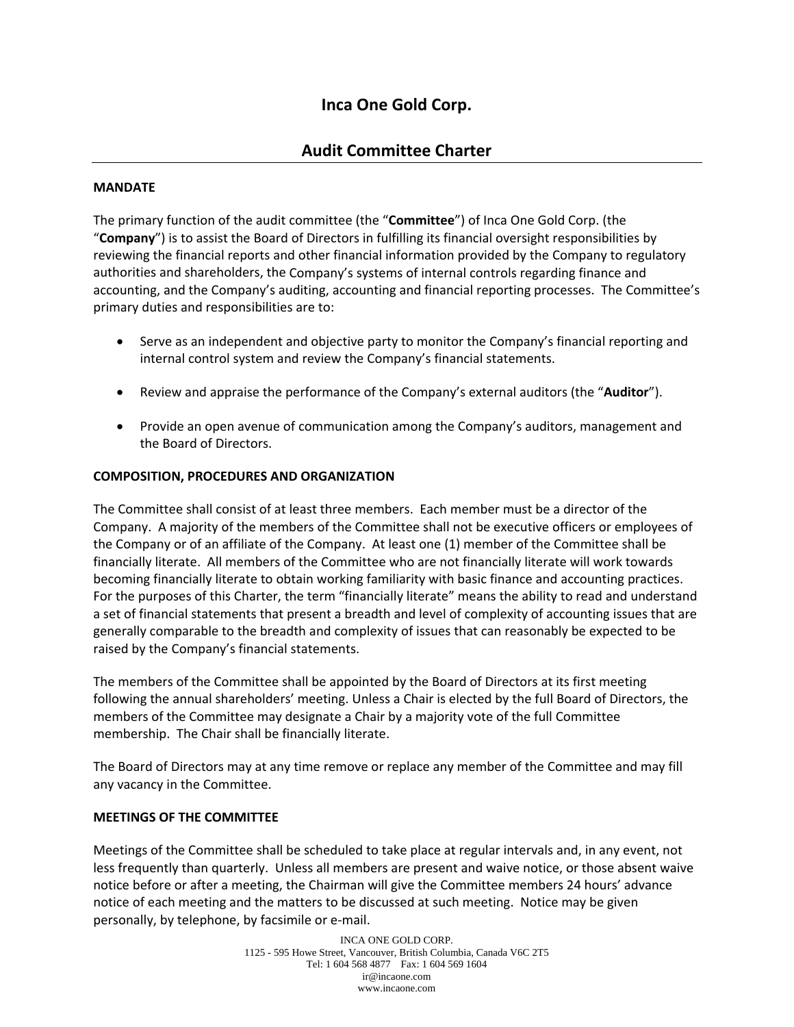# **Inca One Gold Corp.**

## **Audit Committee Charter**

### **MANDATE**

The primary function of the audit committee (the "**Committee**") of Inca One Gold Corp. (the "**Company**") is to assist the Board of Directors in fulfilling its financial oversight responsibilities by reviewing the financial reports and other financial information provided by the Company to regulatory authorities and shareholders, the Company's systems of internal controls regarding finance and accounting, and the Company's auditing, accounting and financial reporting processes. The Committee's primary duties and responsibilities are to:

- Serve as an independent and objective party to monitor the Company's financial reporting and internal control system and review the Company's financial statements.
- Review and appraise the performance of the Company's external auditors (the "**Auditor**").
- Provide an open avenue of communication among the Company's auditors, management and the Board of Directors.

#### **COMPOSITION, PROCEDURES AND ORGANIZATION**

The Committee shall consist of at least three members. Each member must be a director of the Company. A majority of the members of the Committee shall not be executive officers or employees of the Company or of an affiliate of the Company. At least one (1) member of the Committee shall be financially literate. All members of the Committee who are not financially literate will work towards becoming financially literate to obtain working familiarity with basic finance and accounting practices. For the purposes of this Charter, the term "financially literate" means the ability to read and understand a set of financial statements that present a breadth and level of complexity of accounting issues that are generally comparable to the breadth and complexity of issues that can reasonably be expected to be raised by the Company's financial statements.

The members of the Committee shall be appointed by the Board of Directors at its first meeting following the annual shareholders' meeting. Unless a Chair is elected by the full Board of Directors, the members of the Committee may designate a Chair by a majority vote of the full Committee membership. The Chair shall be financially literate.

The Board of Directors may at any time remove or replace any member of the Committee and may fill any vacancy in the Committee.

#### **MEETINGS OF THE COMMITTEE**

Meetings of the Committee shall be scheduled to take place at regular intervals and, in any event, not less frequently than quarterly. Unless all members are present and waive notice, or those absent waive notice before or after a meeting, the Chairman will give the Committee members 24 hours' advance notice of each meeting and the matters to be discussed at such meeting. Notice may be given personally, by telephone, by facsimile or e‐mail.

> INCA ONE GOLD CORP. 1125 - 595 Howe Street, Vancouver, British Columbia, Canada V6C 2T5 Tel: 1 604 568 4877 Fax: 1 604 569 1604 ir@incaone.com www.incaone.com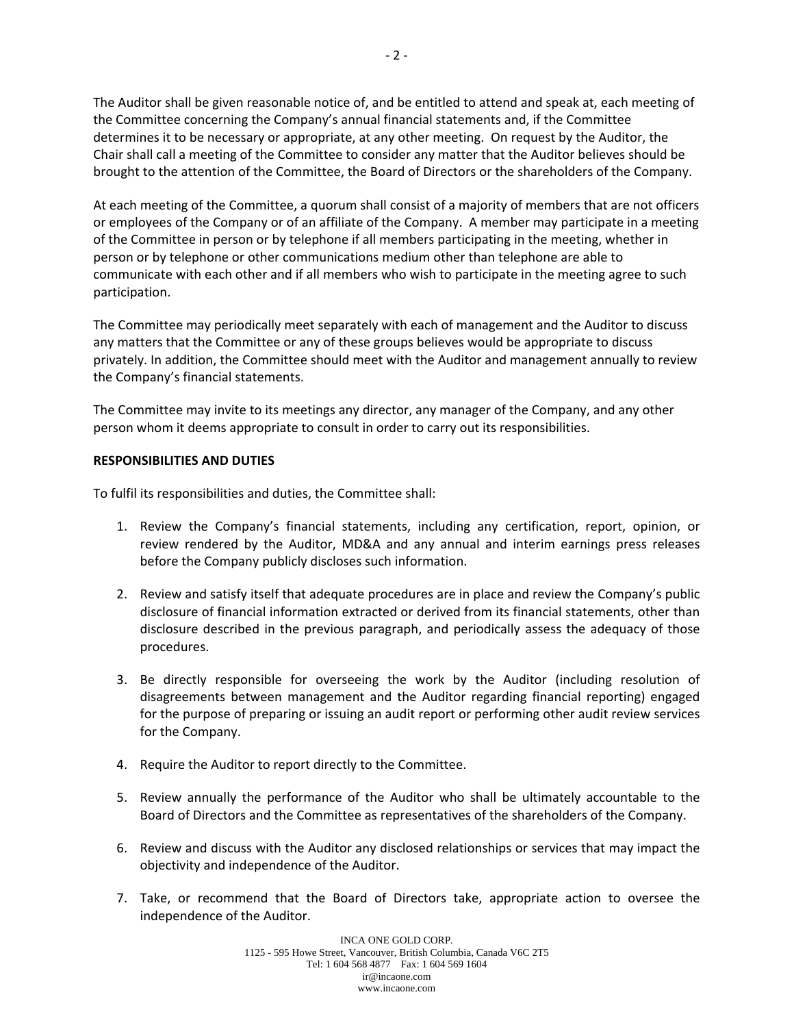The Auditor shall be given reasonable notice of, and be entitled to attend and speak at, each meeting of the Committee concerning the Company's annual financial statements and, if the Committee determines it to be necessary or appropriate, at any other meeting. On request by the Auditor, the Chair shall call a meeting of the Committee to consider any matter that the Auditor believes should be brought to the attention of the Committee, the Board of Directors or the shareholders of the Company.

At each meeting of the Committee, a quorum shall consist of a majority of members that are not officers or employees of the Company or of an affiliate of the Company. A member may participate in a meeting of the Committee in person or by telephone if all members participating in the meeting, whether in person or by telephone or other communications medium other than telephone are able to communicate with each other and if all members who wish to participate in the meeting agree to such participation.

The Committee may periodically meet separately with each of management and the Auditor to discuss any matters that the Committee or any of these groups believes would be appropriate to discuss privately. In addition, the Committee should meet with the Auditor and management annually to review the Company's financial statements.

The Committee may invite to its meetings any director, any manager of the Company, and any other person whom it deems appropriate to consult in order to carry out its responsibilities.

#### **RESPONSIBILITIES AND DUTIES**

To fulfil its responsibilities and duties, the Committee shall:

- 1. Review the Company's financial statements, including any certification, report, opinion, or review rendered by the Auditor, MD&A and any annual and interim earnings press releases before the Company publicly discloses such information.
- 2. Review and satisfy itself that adequate procedures are in place and review the Company's public disclosure of financial information extracted or derived from its financial statements, other than disclosure described in the previous paragraph, and periodically assess the adequacy of those procedures.
- 3. Be directly responsible for overseeing the work by the Auditor (including resolution of disagreements between management and the Auditor regarding financial reporting) engaged for the purpose of preparing or issuing an audit report or performing other audit review services for the Company.
- 4. Require the Auditor to report directly to the Committee.
- 5. Review annually the performance of the Auditor who shall be ultimately accountable to the Board of Directors and the Committee as representatives of the shareholders of the Company.
- 6. Review and discuss with the Auditor any disclosed relationships or services that may impact the objectivity and independence of the Auditor.
- 7. Take, or recommend that the Board of Directors take, appropriate action to oversee the independence of the Auditor.

INCA ONE GOLD CORP. 1125 - 595 Howe Street, Vancouver, British Columbia, Canada V6C 2T5 Tel: 1 604 568 4877 Fax: 1 604 569 1604 ir@incaone.com www.incaone.com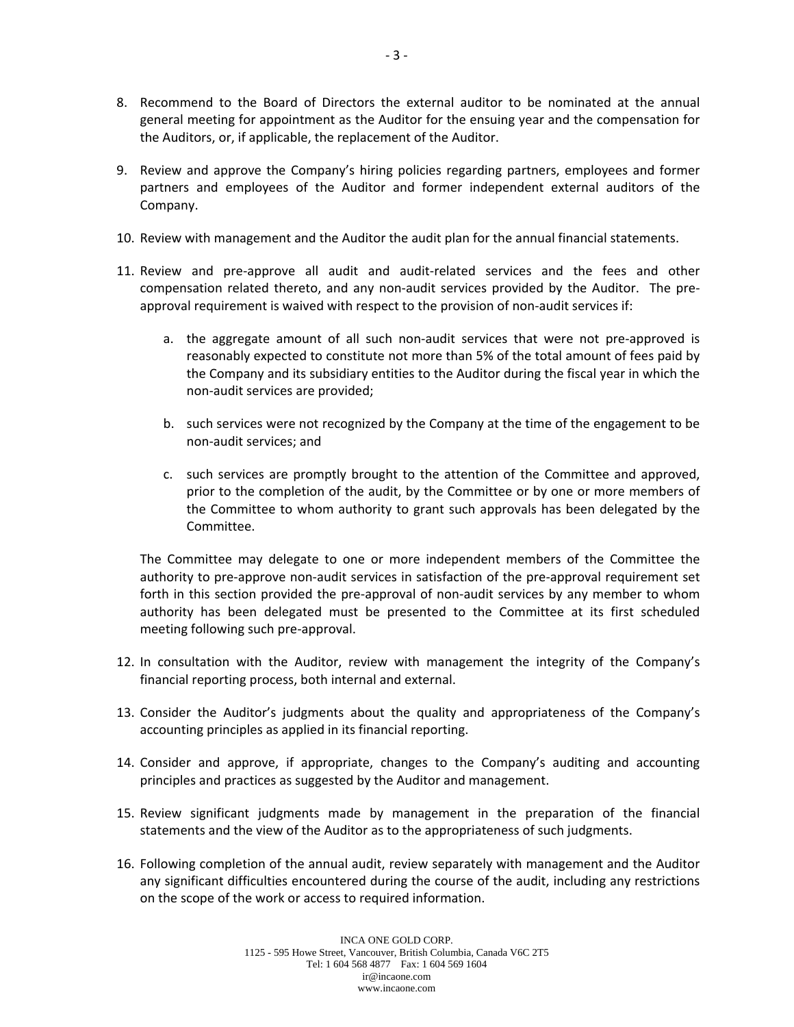- 8. Recommend to the Board of Directors the external auditor to be nominated at the annual general meeting for appointment as the Auditor for the ensuing year and the compensation for the Auditors, or, if applicable, the replacement of the Auditor.
- 9. Review and approve the Company's hiring policies regarding partners, employees and former partners and employees of the Auditor and former independent external auditors of the Company.
- 10. Review with management and the Auditor the audit plan for the annual financial statements.
- 11. Review and pre‐approve all audit and audit‐related services and the fees and other compensation related thereto, and any non-audit services provided by the Auditor. The preapproval requirement is waived with respect to the provision of non-audit services if:
	- a. the aggregate amount of all such non‐audit services that were not pre‐approved is reasonably expected to constitute not more than 5% of the total amount of fees paid by the Company and its subsidiary entities to the Auditor during the fiscal year in which the non‐audit services are provided;
	- b. such services were not recognized by the Company at the time of the engagement to be non‐audit services; and
	- c. such services are promptly brought to the attention of the Committee and approved, prior to the completion of the audit, by the Committee or by one or more members of the Committee to whom authority to grant such approvals has been delegated by the Committee.

The Committee may delegate to one or more independent members of the Committee the authority to pre-approve non-audit services in satisfaction of the pre-approval requirement set forth in this section provided the pre-approval of non-audit services by any member to whom authority has been delegated must be presented to the Committee at its first scheduled meeting following such pre‐approval.

- 12. In consultation with the Auditor, review with management the integrity of the Company's financial reporting process, both internal and external.
- 13. Consider the Auditor's judgments about the quality and appropriateness of the Company's accounting principles as applied in its financial reporting.
- 14. Consider and approve, if appropriate, changes to the Company's auditing and accounting principles and practices as suggested by the Auditor and management.
- 15. Review significant judgments made by management in the preparation of the financial statements and the view of the Auditor as to the appropriateness of such judgments.
- 16. Following completion of the annual audit, review separately with management and the Auditor any significant difficulties encountered during the course of the audit, including any restrictions on the scope of the work or access to required information.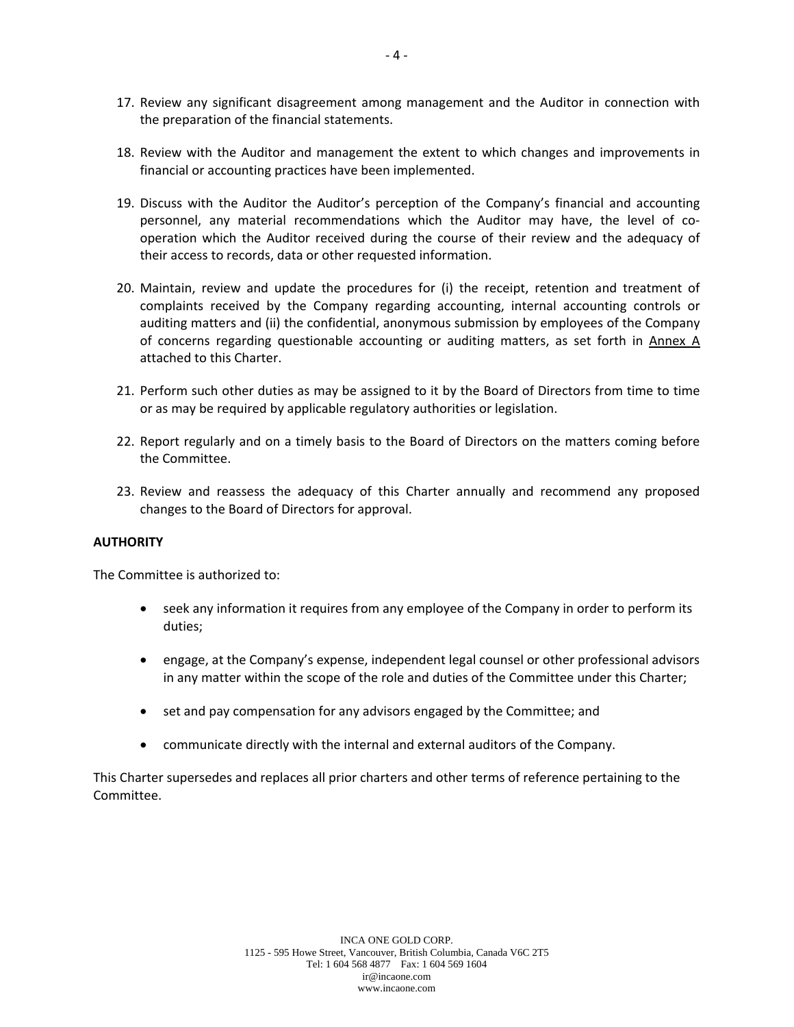- 17. Review any significant disagreement among management and the Auditor in connection with the preparation of the financial statements.
- 18. Review with the Auditor and management the extent to which changes and improvements in financial or accounting practices have been implemented.
- 19. Discuss with the Auditor the Auditor's perception of the Company's financial and accounting personnel, any material recommendations which the Auditor may have, the level of cooperation which the Auditor received during the course of their review and the adequacy of their access to records, data or other requested information.
- 20. Maintain, review and update the procedures for (i) the receipt, retention and treatment of complaints received by the Company regarding accounting, internal accounting controls or auditing matters and (ii) the confidential, anonymous submission by employees of the Company of concerns regarding questionable accounting or auditing matters, as set forth in Annex A attached to this Charter.
- 21. Perform such other duties as may be assigned to it by the Board of Directors from time to time or as may be required by applicable regulatory authorities or legislation.
- 22. Report regularly and on a timely basis to the Board of Directors on the matters coming before the Committee.
- 23. Review and reassess the adequacy of this Charter annually and recommend any proposed changes to the Board of Directors for approval.

#### **AUTHORITY**

The Committee is authorized to:

- seek any information it requires from any employee of the Company in order to perform its duties;
- engage, at the Company's expense, independent legal counsel or other professional advisors in any matter within the scope of the role and duties of the Committee under this Charter;
- set and pay compensation for any advisors engaged by the Committee; and
- communicate directly with the internal and external auditors of the Company.

This Charter supersedes and replaces all prior charters and other terms of reference pertaining to the Committee.